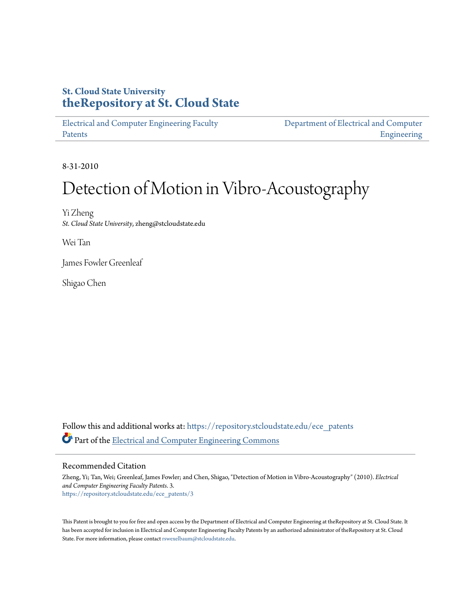## **St. Cloud State University [theRepository at St. Cloud State](https://repository.stcloudstate.edu?utm_source=repository.stcloudstate.edu%2Fece_patents%2F3&utm_medium=PDF&utm_campaign=PDFCoverPages)**

[Electrical and Computer Engineering Faculty](https://repository.stcloudstate.edu/ece_patents?utm_source=repository.stcloudstate.edu%2Fece_patents%2F3&utm_medium=PDF&utm_campaign=PDFCoverPages) [Patents](https://repository.stcloudstate.edu/ece_patents?utm_source=repository.stcloudstate.edu%2Fece_patents%2F3&utm_medium=PDF&utm_campaign=PDFCoverPages)

[Department of Electrical and Computer](https://repository.stcloudstate.edu/ece?utm_source=repository.stcloudstate.edu%2Fece_patents%2F3&utm_medium=PDF&utm_campaign=PDFCoverPages) [Engineering](https://repository.stcloudstate.edu/ece?utm_source=repository.stcloudstate.edu%2Fece_patents%2F3&utm_medium=PDF&utm_campaign=PDFCoverPages)

8-31-2010

# Detection of Motion in Vibro-Acoustography

Yi Zheng *St. Cloud State University*, zheng@stcloudstate.edu

Wei Tan

James Fowler Greenleaf

Shigao Chen

Follow this and additional works at: [https://repository.stcloudstate.edu/ece\\_patents](https://repository.stcloudstate.edu/ece_patents?utm_source=repository.stcloudstate.edu%2Fece_patents%2F3&utm_medium=PDF&utm_campaign=PDFCoverPages) Part of the [Electrical and Computer Engineering Commons](http://network.bepress.com/hgg/discipline/266?utm_source=repository.stcloudstate.edu%2Fece_patents%2F3&utm_medium=PDF&utm_campaign=PDFCoverPages)

Recommended Citation

Zheng, Yi; Tan, Wei; Greenleaf, James Fowler; and Chen, Shigao, "Detection of Motion in Vibro-Acoustography" (2010). *Electrical and Computer Engineering Faculty Patents*. 3. [https://repository.stcloudstate.edu/ece\\_patents/3](https://repository.stcloudstate.edu/ece_patents/3?utm_source=repository.stcloudstate.edu%2Fece_patents%2F3&utm_medium=PDF&utm_campaign=PDFCoverPages)

This Patent is brought to you for free and open access by the Department of Electrical and Computer Engineering at theRepository at St. Cloud State. It has been accepted for inclusion in Electrical and Computer Engineering Faculty Patents by an authorized administrator of theRepository at St. Cloud State. For more information, please contact [rswexelbaum@stcloudstate.edu.](mailto:rswexelbaum@stcloudstate.edu)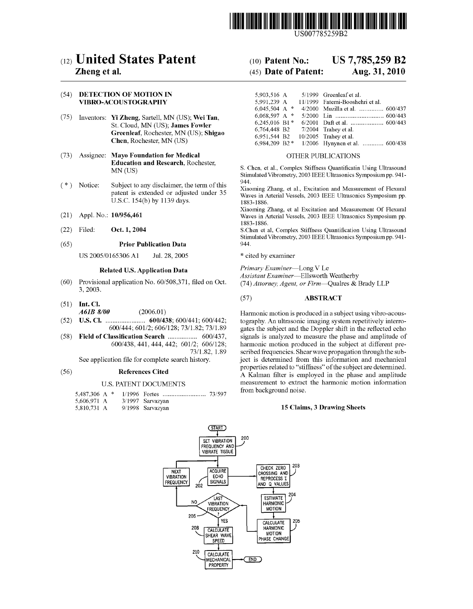

# (12) United States Patent

### Zheng et al.

### (54) DETECTION OF MOTION IN **VIBRO-ACOUSTOGRAPHY**

- (75) Inventors: Yi Zheng, Sartell, MN (US); Wei Tan, St. Cloud, MN (US); James Fowler Greenleaf, Rochester, MN (US); Shigao Chen, Rochester, MN (US)
- $(73)$ **Assignee: Mayo Foundation for Medical Education and Research**, Rochester, MN (US)
- $(* )$  Notice: Subject to any disclaimer, the term of this patent is extended or adjusted under 35 U.S.C. 154(b) by 1139 days.
- $(21)$ Appl. No.: 10/956,461
- Filed: Oct. 1, 2004  $(22)$

#### $(65)$ **Prior Publication Data**

US 2005/0165306 A1 Jul. 28, 2005

### **Related U.S. Application Data**

- $(60)$ Provisional application No. 60/508,371, filed on Oct. 3, 2003.
- $(51)$  Int. Cl. A61B 8/00  $(2006.01)$
- $(52)$ U.S. Cl. 600/444; 601/2; 606/128; 73/1.82; 73/1.89
- $(58)$ Field of Classification Search .................. 600/437, 600/438, 441, 444, 442; 601/2; 606/128; 73/1.82, 1.89

See application file for complete search history.

#### $(56)$ **References Cited**

### **U.S. PATENT DOCUMENTS**

- 5,487,306 A \* 5.606.971 A 3/1997 Sarvazyan
- 5,810,731 A 9/1998 Sarvazyan

#### US 7,785,259 B2  $(10)$  Patent No.:

#### (45) Date of Patent: Aug. 31, 2010

| 5,903,516 A     |  | 5/1999 Greenleaf et al.         |
|-----------------|--|---------------------------------|
| 5,991,239 A     |  | 11/1999 Fatemi-Booshehri et al. |
| 6,045,504 A $*$ |  | 4/2000 Muzilla et al.  600/437  |
| 6.068.597 A $*$ |  |                                 |
| 6,245,016 B1*   |  |                                 |
| 6.764.448 B2    |  | 7/2004 Trahey et al.            |
| 6.951.544 B2    |  | $10/2005$ Trahev et al.         |
| 6,984,209 B2*   |  | 1/2006 Hynynen et al.  600/438  |

### OTHER PUBLICATIONS

S. Chen, et al., Complex Stiffness Quantificatin Using Ultrasound Stimulated Vibrometry, 2003 IEEE Ultrasonics Symposium pp. 941-944

Xiaoming Zhang, et al., Excitation and Measurement of Flexural Waves in Arterial Vessels, 2003 IEEE Ultrasonics Symposium pp. 1883-1886

Xiaoming Zhang, et al Excitation and Measurement Of Flexural Waves in Arterial Vessels, 2003 IEEE Ultrasonics Symposium pp. 1883-1886.

S.Chen et al, Complex Stiffness Quantification Using Ultrasound Stimulated Vibrometry, 2003 IEEE Ultrasonics Symposium pp. 941-944

\* cited by examiner

Primary Examiner-Long V Le Assistant Examiner-Ellsworth Weatherby

(74) Attorney, Agent, or Firm-Qualres & Brady LLP

#### $(57)$ **ABSTRACT**

Harmonic motion is produced in a subject using vibro-acoustography. An ultrasonic imaging system repetitively interrogates the subject and the Doppler shift in the reflected echo signals is analyzed to measure the phase and amplitude of harmonic motion produced in the subject at different prescribed frequencies. Shear wave propagation through the subject is determined from this information and mechanical properties related to "stiffness" of the subject are determined. A Kalman filter is employed in the phase and amplitude measurement to extract the harmonic motion information from background noise.

### 15 Claims, 3 Drawing Sheets

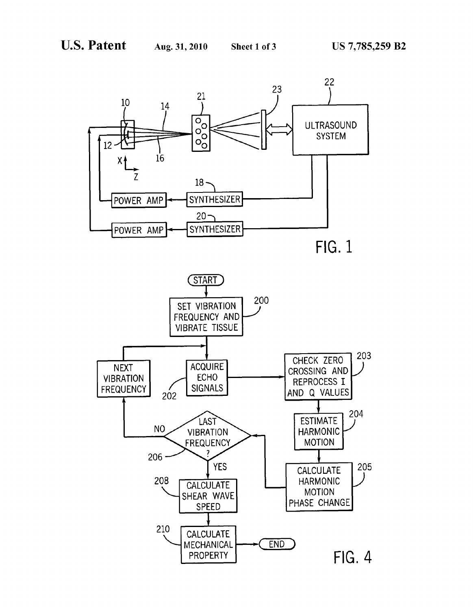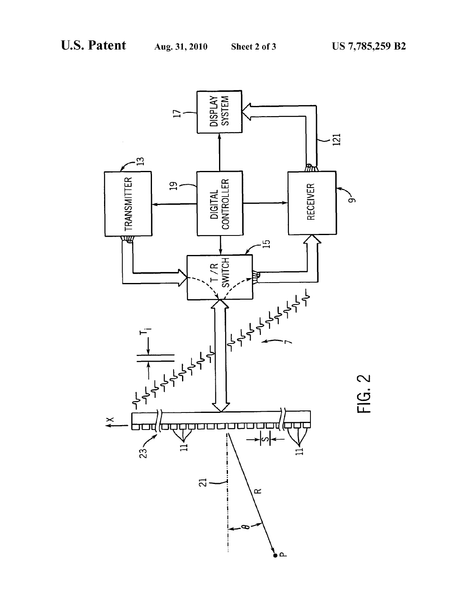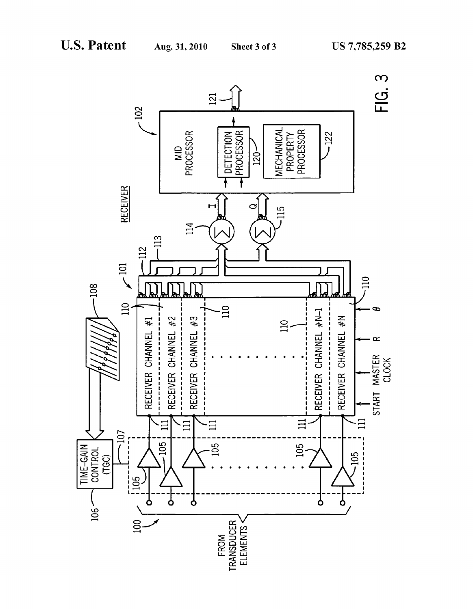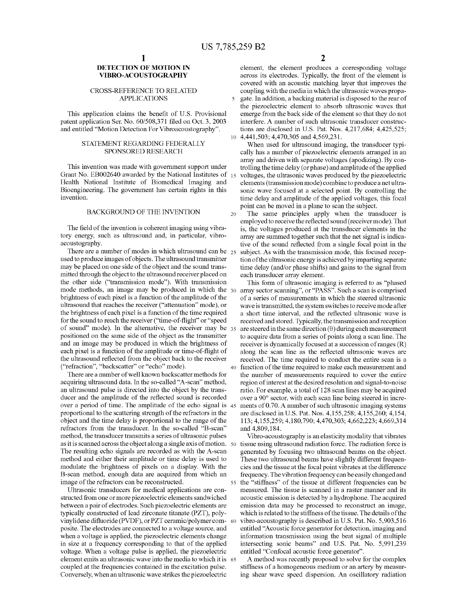$\overline{\mathbf{S}}$ 

 $10$ 

20

### DETECTION OF MOTION IN VIBRO-ACOUSTOGRAPHY

### CROSS-REFERENCE TO RELATED APPLICATIONS

This application claims the benefit of U.S. Provisional patent application Ser. No. 60/508,371 filed on Oct. 3, 2003 and entitled "Motion Detection For Vibroacoustography".

### STATEMENT REGARDING FEDERALLY SPONSORED RESEARCH

This invention Was made With government support under Grant No. EB002640 awarded by the National Institutes of 15 Health National Institute of Biomedical Imaging and Bioengineering. The government has certain rights in this invention.

### BACKGROUND OF THE INVENTION

The field of the invention is coherent imaging using vibratory energy, such as ultrasound and, in particular, vibro acoustography.

There are a number of modes in which ultrasound can be  $_{25}$ used to produce images of objects. The ultrasound transmitter may be placed on one side of the object and the sound trans mitted through the object to the ultrasound receiver placed on the other side ("transmission mode"). With transmission mode methods, an image may be produced in which the 30 brightness of each pixel is a function of the amplitude of the ultrasound that reaches the receiver ("attenuation" mode), or the brightness of each pixel is a function of the time required for the sound to reach the receiver ("time-of-flight" or "speed of sound" mode). In the alternative, the receiver may be  $35$ positioned on the same side of the object as the transmitter and an image may be produced in Which the brightness of each pixel is a function of the amplitude or time-of-flight of the ultrasound reflected from the object back to the receiver ("refraction", "backscatter" or "echo" mode). 40

There are a number of well known backscatter methods for acquiring ultrasound data. In the so-called "A-scan" method, an ultrasound pulse is directed into the object by the trans ducer and the amplitude of the reflected sound is recorded over a period of time. The amplitude of the echo signal is 45 proportional to the scattering strength of the refractors in the object and the time delay is proportional to the range of the refractors from the transducer. In the so-called "B-scan" method, the transducer transmits a series of ultrasonic pulses as it is scanned across the object along a single axis of motion. 50 The resulting echo signals are recorded as With the A-scan method and either their amplitude or time delay is used to modulate the brightness of pixels on a display. With the B-scan method, enough data are acquired from Which an image of the refractors can be reconstructed.

Ultrasonic transducers for medical applications are con structed from one or more piezoelectric elements sandwiched betWeen a pair of electrodes. Such pieZoelectric elements are typically constructed of lead Zirconate titanate (PZT), poly vinylidene difluoride (PVDF), or PZT ceramic/polymer com- 60 posite. The electrodes are connected to a voltage source, and when a voltage is applied, the piezoelectric elements change in size at a frequency corresponding to that of the applied voltage. When a voltage pulse is applied, the pieZoelectric element emits an ultrasonic Wave into the media to Which it is 65 coupled at the frequencies contained in the excitation pulse. Conversely, When an ultrasonic Wave strikes the pieZoelectric

element, the element produces a corresponding voltage across its electrodes. Typically, the front of the element is covered With an acoustic matching layer that improves the coupling With the media in Which the ultrasonic Waves propa gate. In addition, a backing material is disposed to the rear of the pieZoelectric element to absorb ultrasonic Waves that emerge from the back side of the element so that they do not interfere. A number of such ultrasonic transducer construc tions are disclosed in US. Pat. Nos. 4,217,684; 4,425,525; 4,441,503; 4,470,305 and 4,569,231.

When used for ultrasound imaging, the transducer typi cally has a number of pieZoelectric elements arranged in an array and driven with separate voltages (apodizing). By controlling the time delay (or phase) and amplitude of the applied voltages, the ultrasonic Waves produced by the pieZoelectric elements (transmission mode) combine to produce a net ultra sonic Wave focused at a selected point. By controlling the time delay and amplitude of the applied voltages, this focal point can be moved in a plane to scan the subject.

The same principles apply When the transducer is employed to receive the reflected sound (receiver mode). That is, the voltages produced at the transducer elements in the array are summed together such that the net signal is indica tive of the sound reflected from a single focal point in the subject. As With the transmission mode, this focused recep tion of the ultrasonic energy is achieved by imparting separate time delay (and/or phase shifts) and gains to the signal from each transducer array element.

This form of ultrasonic imaging is referred to as "phased array sector scanning", or "PASS". Such a scan is comprised of a series of measurements in Which the steered ultrasonic Wave is transmitted, the system switches to receive mode after a short time interval, and the reflected ultrasonic wave is received and stored. Typically, the transmission and reception are steered in the same direction  $(\theta)$  during each measurement to acquire data from a series of points along a scan line. The receiver is dynamically focused at a succession of ranges (R) along the scan line as the reflected ultrasonic waves are received. The time required to conduct the entire scan is a function of the time required to make each measurement and the number of measurements required to cover the entire region of interest at the desired resolution and signal-to-noise ratio. For example, a total of 128 scan lines may be acquired over a 90° sector, with each scan line being steered in increments of 0.70. A number of such ultrasonic imaging systems are disclosed in US. Pat. Nos. 4,155,258; 4,155,260; 4,154, 113; 4,155,259; 4,180,790; 4,470,303; 4,662,223; 4,669,314 and 4,809,184.

55 the "stiffness" of the tissue at different frequencies can be Vibro-acoustography is an elasticity modality that vibrates tissue using ultrasound radiation force. The radiation force is generated by focusing tWo ultrasound beams on the object. These two ultrasound beams have slightly different frequencies and the tissue at the focal point vibrates at the difference frequency. The vibration frequency can be easily changed and measured. The tissue is scanned in a raster manner and its acoustic emission is detected by a hydrophone. The acquired emission data may be processed to reconstruct an image, Which is related to the stiffness of the tissue. The details of the vibro-acoustography is described in U.S. Pat. No. 5,903,516 entitled "Acoustic force generator for detection, imaging and information transmission using the beat signal of multiple intersecting sonic beams" and US. Pat. No. 5,991,239 entitled "Confocal acoustic force generator".

A method Was recently proposed to solve for the complex stiffness of a homogeneous medium or an artery by measur ing shear Wave speed dispersion. An oscillatory radiation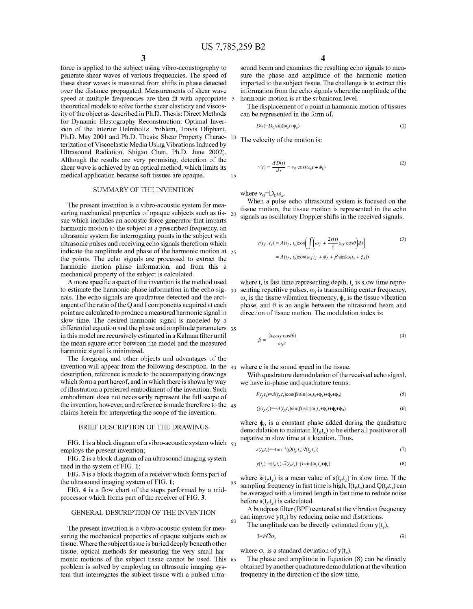15

force is applied to the subject using vibro-acoustography to generate shear Waves of various frequencies. The speed of these shear Waves is measured from shifts in phase detected over the distance propagated. Measurements of shear Wave speed at multiple frequencies are then fit with appropriate 5 theoretical models to solve for the shear elasticity and viscos ity of the object as described in Ph.D. Thesis: Direct Methods for Dynamic Elastography Reconstruction: Optimal Inver sion of the Interior Helmholtz Problem, Travis Oliphant, Ph.D. May 2001 and Ph.D. Thesis: Shear Property Charac terization of Viscoelastic Media Using Vibrations Induced by Ultrasound Radiation, Shigao Chen, Ph.D. June 2002). Although the results are very promising, detection of the shear Wave is achieved by an optical method, Which limits its medical application because soft tissues are opaque.

### SUMMARY OF THE INVENTION

The present invention is a vibro-acoustic system for mea suring mechanical properties of opaque subjects such as tis-  $_{20}$ sue Which includes an acoustic force generator that imparts harmonic motion to the subject at a prescribed frequency, an ultrasonic system for interrogating points in the subject With ultrasonic pulses and receiving echo signals therefrom Which indicate the amplitude and phase of the harmonic motion at  $_{25}$ the points. The echo signals are processed to extract the harmonic motion phase information, and from this a mechanical property of the subject is calculated.

A more specific aspect of the invention is the method used to estimate the harmonic phase information in the echo sig- $_{30}$ nals. The echo signals are quadrature detected and the arct angent of the ratio of the Q and I components acquired at each point are calculated to produce a measured harmonic signal in sloW time. The desired harmonic signal is modeled by a differential equation and the phase and amplitude parameters 35 in this model are recursively estimated in a Kalman filter until the mean square error between the model and the measured harmonic signal is minimized.

The foregoing and other objects and advantages of the invention Will appear from the folloWing description. In the 40 Where c is the sound speed in the tissue. description, reference is made to the accompanying drawings which form a part hereof, and in which there is shown by way of illustration a preferred embodiment of the invention. Such embodiment does not necessarily represent the full scope of the invention, hoWever, and reference is made therefore to the 45 claims herein for interpreting the scope of the invention.

### BRIEF DESCRIPTION OF THE DRAWINGS

FIG. 1 is a block diagram of a vibro-acoustic system which  $\,$   $_{50}$ employs the present invention;

FIG. 2 is a block diagram of an ultrasound imaging system used in the system of FIG. 1;

FIG. 3 is a block diagram of a receiver Which forms part of the ultrasound imaging system of FIG. 1;

FIG. 4 is a How chart of the steps performed by a mid processor Which forms part of the receiver of FIG. 3.

### GENERAL DESCRIPTION OF THE INVENTION

The present invention is a vibro-acoustic system for mea suring the mechanical properties of opaque subjects such as tissue. Where the subject tissue is buried deeply beneath other tissue, optical methods for measuring the very small har monic motions of the subject tissue cannot be used. This 65 problem is solved by employing an ultrasonic imaging sys tem that interrogates the subject tissue With a pulsed ultra

sound beam and examines the resulting echo signals to mea sure the phase and amplitude of the harmonic motion imparted to the subject tissue. The challenge is to extract this information from the echo signals Where the amplitude of the harmonic motion is at the submicron level.

The displacement of a point in harmonic motion of tissues can be represented in the form of,

$$
D(t)=D_0\sin(\omega_s t+\phi_s)
$$
 (1)

 $10$  The velocity of the motion is:

$$
v(t) = \frac{d D(t)}{dt} = v_0 \cos(\omega_s t + \phi_s)
$$
 (2)

where  $v_0=D_0\omega_s$ .

When a pulse echo ultrasound system is focused on the tissue motion, the tissue motion is represented in the echo signals as oscillatory Doppler shifts in the received signals.

$$
(t_f, t_s) = A(t_f, t_s) \cos\left(\int \left(\omega_f + \frac{2v(t)}{c}\omega_f \cos\theta\right) dt\right)
$$
  
=  $A(t_f, t_s) \cos(\omega_f t_f + \phi_f + \beta \sin(\omega_s t_s + \phi_s))$  (3)

where  $t_f$  is fast time representing depth,  $t_s$  is slow time representing repetitive pulses,  $\omega_f$  is transmitting center frequency,  $\omega_s$  is the tissue vibration frequency,  $\phi_s$  is the tissue vibration phase, and  $\theta$  is an angle between the ultrasound beam and direction of tissue motion. The modulation index is:

$$
\beta = \frac{2v_0 \omega_f \cos(\theta)}{\omega_s c} \tag{4}
$$

With quadrature demodulation of the received echo signal, We have in-phase and quadrature terms:

$$
I(t_f t_s) = A(t_f t_s) \cos(\beta \sin(\omega_s t_s + \phi_s) + \phi_f + \phi_0) \tag{5}
$$

$$
Q(t_{\rho}t_s) = -A(t_{\rho}t_s)\sin(\beta\sin(\omega_s t_s + \phi_s) + \phi_f + \phi_0)
$$
\n<sup>(6)</sup>

where  $\phi_0$  is a constant phase added during the quadrature demodulation to maintain  $I(t<sub>g</sub>t<sub>s</sub>)$  to be either all positive or all negative in sloW time at a location. Thus,

$$
s(t_f t_s) = -\tan^{-1}(Q(t_f t_s) / I(t_f t_s))\tag{7}
$$

$$
y(t_s) = s(t_f t_s) - \overline{s}(t_f t_s) = \beta \sin(\omega_s t_s + \phi_s)
$$
\n(8)

where  $\overline{s}(t_{\beta}t_s)$  is a mean value of  $s(t_{\beta}t_s)$  in slow time. If the sampling frequency in fast time is high,  $I(t<sub>6</sub>t<sub>s</sub>)$  and  $Q(t<sub>6</sub>t<sub>s</sub>)$  can be averaged With a limited length in fast time to reduce noise before  $s(t<sub>6</sub>t<sub>s</sub>)$  is calculated.

A bandpass filter (BPF) centered at the vibration frequency can improve  $y(t_s)$  by reducing noise and distortions.

The amplitude can be directly estimated from  $y(t_s)$ ,

$$
\beta = \sqrt{2}\sigma_{\gamma} \tag{9}
$$

where  $\sigma_v$  is a standard deviation of y(t<sub>s</sub>).

55

60

The phase and amplitude in Equation (8) can be directly obtained by another quadrature demodulation at the vibration frequency in the direction of the slow time,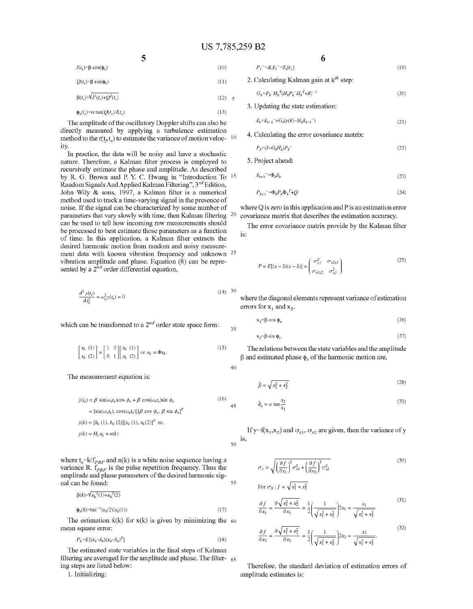$(11)$ 

35

40

45

50

55

 $I(t_s)=\beta \cos(\phi_s)$  (10)

5

 $Q(t_s) = \beta \sin(\phi_s)$ 

 $\beta(t_s) = \sqrt{I^2(t_s) + Q^2(t_s)}$  $(12) - 5$ 

$$
\Phi_s(t_s) = \alpha \tan(Q(t_s)/I(t_s) \tag{13}
$$

The amplitude of the oscillatory Doppler shifts can also be directly measured by applying a turbulence estimation method to the r( $t<sub>g</sub>t<sub>s</sub>$ ) to estimate the variance of motion veloc-  $10$ ity.

In practice, the data Will be noisy and have a stochastic nature. Therefore, a Kalman filter process is employed to recursively estimate the phase and amplitude. As described by R. G. BroWn and P. Y. C. HWang in "Introduction To 15 Random Signals And Applied Kalman Filtering", 3<sup>rd</sup> Edition, John Wily  $\&$  sons, 1997, a Kalman filter is a numerical method used to track a time-varying signal in the presence of noise. If the signal can be characterized by some number of parameters that vary slowly with time, then Kalman filtering can be used to tell how incoming raw measurements should 20 be processed to best estimate those parameters as a function of time. In this application, a Kalman filter extracts the desired harmonic motion from random and noisy measure ment data with known vibration frequency and unknown <sup>25</sup> vibration amplitude and phase. Equation (8) can be repre sented by a  $2^{nd}$  order differential equation,

$$
\frac{d^2 y(t_s)}{dt_s^2} + \omega_s^2 y(t_s) = 0
$$
\n(14) 30

which can be transformed to a  $2^{nd}$  order state space form:

$$
\begin{bmatrix} x_k & (1) \\ x_k & (2) \end{bmatrix} = \begin{bmatrix} 1 & 0 \\ 0 & 1 \end{bmatrix} \begin{bmatrix} x_k & (1) \\ x_k & (2) \end{bmatrix} \text{ or } x_k = \Phi x_k \,. \tag{15}
$$

The measurement equation is:

$$
y(t_s) = \beta \sin(\omega_s t_s) \cos \phi_s + \beta \cos(\omega_s t_s) \sin \phi_s
$$
  
\n
$$
= [\sin(\omega_s t_s), \cos(\omega_s t_s)][\beta \cos \phi_s, \beta \sin \phi_s]^T
$$
  
\n
$$
y(k) = [h_k (1), h_k (2)][x_k (1), x_k (2)]^T \text{ or,}
$$
  
\n
$$
y(k) = H_k x_k + n(k)
$$

where  $t_s = k/f_{PRF}$  and n(k) is a white noise sequence having a variance R.  $f_{PRF}$  is the pulse repetition frequency. Thus the amplitude and phase parameters of the desired harmonic sig nal can be found:

$$
\beta(k) = \sqrt{x_k^2(1) + x_k^2(2)}
$$

 $\phi_s(k) = \tan^{-1}(x_k(2)/x_k(1))$ (17)

The estimation  $x(k)$  for  $x(k)$  is given by minimizing the 60 mean square error:

$$
P_k = E[(x_k - \hat{x}_k)(x_k - \hat{x}_k)^T] \tag{18}
$$

The estimated state variables in the final steps of Kalman filtering are averaged for the amplitude and phase. The filter-  $65$ ing steps are listed below:

1. Initializing:

$$
6
$$

 $P_1^- = R, \hat{x}_1^- = E[x_1]$ 

 $(19)$ 

 $(28)$ 

2. Calculating Kalman gain at  $k^{th}$  step:

$$
G_k = P_k^{-1} H_k^{-1} (H_k P_k^{-1} H_k^{-1} + R)^{-1}
$$
\n<sup>(20)</sup>

3. Updating the state estimation:

$$
\hat{x}_k = \hat{x}_{k-1} + G_k(y(k) - H_k \hat{x}_{k-1})
$$
\n(21)

### 4. Calculating the error covariance matrix:

$$
P_k = (I - G_k H_k) P_k \tag{22}
$$

5. Project ahead:

$$
\hat{x}_{k+1} = \Phi_k \hat{x}_k \tag{23}
$$

$$
P_{k+1} = \Phi_k P_k \Phi_k^T + Q \tag{24}
$$

where Q is zero in this application and P is an estimation error covariance matrix that describes the estimation accuracy.

The error covariance matrix provide by the Kalman filter is:

$$
P = E[(x - \hat{x})(x - \hat{x})] = \begin{pmatrix} \sigma_{xI}^2 & \sigma_{x2xI} \\ \sigma_{xIx2} & \sigma_{x2}^2 \end{pmatrix}
$$
 (25)

Where the diagonal elements represent variance of estimation errors for  $x_1$  and  $x_2$ .

$$
x_1 = \beta \cos \phi_s \tag{26}
$$

$$
x_2 = \beta \sin \phi_s. \tag{27}
$$

The relations between the state variables and the amplitude  $\beta$  and estimated phase  $\phi_s$  of the harmonic motion are,

$$
\overline{a} = \overline{a}
$$

$$
\hat{\beta} = \sqrt{x_1^2 + x_2^2} \tag{20}
$$

$$
\hat{\phi}_s = a \tan \frac{x_2}{x_1} \tag{29}
$$

If y=f(x<sub>1</sub>,x<sub>2</sub>) and  $\sigma_{x1}$ ,  $\sigma_{x2}$  are given, then the variance of y is,

$$
\sigma_y = \sqrt{\left(\frac{\partial f}{\partial x_1}\right)^2 \sigma_{xI}^2 + \left(\frac{\partial f}{\partial x_2}\right)^2 \sigma_{x2}^2}
$$
\n(30)

For 
$$
\sigma_{\beta}
$$
:  $f = \sqrt{x_1^2 + x_2^2}$ 

$$
\frac{\partial f}{\partial x_1} = \frac{\partial \sqrt{x_1^2 + x_2^2}}{\partial x_1} = \frac{1}{2} \left( \frac{1}{\sqrt{x_1^2 + x_2^2}} \right) 2x_1 = \frac{x_1}{\sqrt{x_1^2 + x_2^2}}
$$
(31)

$$
\frac{\partial f}{\partial x_2} = \frac{\partial \sqrt{x_1^2 + x_2^2}}{\partial x_2} = \frac{1}{2} \left( \frac{1}{\sqrt{x_1^2 + x_2^2}} \right) 2x_2 = \frac{x_2}{\sqrt{x_1^2 + x_2^2}}.
$$
\n(32)

Therefore, the standard deviation of estimation errors of amplitude estimates is: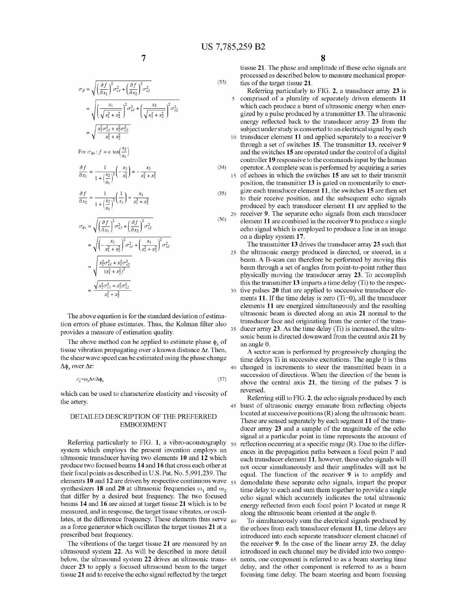$(33)$ 

45

$$
\sigma_{\beta} = \sqrt{\left(\frac{\partial f}{\partial x_1}\right)^2 \sigma_{xI}^2 + \left(\frac{\partial f}{\partial x_2}\right)^2 \sigma_{x2}^2}
$$
  
= 
$$
\sqrt{\left(\frac{x_1}{\sqrt{x_1^2 + x_2^2}}\right)^2 \sigma_{xI}^2 + \left(\frac{x_2}{\sqrt{x_1^2 + x_2^2}}\right)^2 \sigma_{x2}^2}
$$
  
= 
$$
\sqrt{\frac{x_1^2 \sigma_{xI}^2 + x_2^2 \sigma_{x2}^2}{x_1^2 + x_2^2}}
$$

For  $\sigma_{\phi s}$ :  $f = a \tan(\frac{x_2}{x_1})$ 

$$
\frac{\partial f}{\partial x_1} = \frac{1}{1 + \left(\frac{x_2}{x_1}\right)^2} \left(-\frac{x_2}{x_1^2}\right) = -\frac{x_2}{x_1^2 + x_2^2} \tag{34}
$$

$$
\frac{\partial f}{\partial x_2} = \frac{1}{1 + \left(\frac{x_2}{x}\right)^2} \left(\frac{1}{x_1}\right) = \frac{x_1}{x_1^2 + x_2^2} \tag{35}
$$

$$
\mathcal{F}_{\phi s} = \sqrt{\left(\frac{\partial f}{\partial x_1}\right)^2 \sigma_{xI}^2 + \left(\frac{\partial f}{\partial x_2}\right)^2 \sigma_{x2}^2}
$$
\n
$$
= \sqrt{\left(-\frac{x_2}{x_1^2 + x_2^2}\right)^2 \sigma_{xI}^2 + \left(\frac{x_1}{x_1^2 + x_2^2}\right)^2 \sigma_{x2}^2}
$$
\n
$$
= \sqrt{\frac{x_2^2 \sigma_{xI}^2 + x_1^2 \sigma_{x2}^2}{(x_1^2 + x_2^2)^2}}
$$
\n
$$
= \frac{\sqrt{x_2^2 \sigma_{xI}^2 + x_1^2 \sigma_{x2}^2}}{x_1^2 + x_2^2}
$$
\n(36)

The above equation is for the standard deviation of estima tion errors of phase estimates. Thus, the Kalman filter also provides a measure of estimation quality.

The above method can be applied to estimate phase  $\phi_s$  of tissue vibration propagating over a known distance  $\Delta r$ . Then, the shear Wave speed can be estimated using the phase change  $Δφ<sub>s</sub> over Δr$ :

$$
c_s = \omega_s \Delta r / \Delta \phi_s \tag{37}
$$

Which can be used to characterize elasticity and viscosity of the artery.

### DETAILED DESCRIPTION OF THE PREFERRED EMBODIMENT

Referring particularly to FIG. 1, a vibro-acoustography  $_{50}$ system Which employs the present invention employs an ultrasonic transducer having tWo elements 10 and 12 Which produce tWo focused beams 14 and 16 that cross each other at their focal points as described in U.S. Pat. No. 5,991,239. The elements 10 and 12 are driven by respective continuous wave  $\frac{55}{100}$ synthesizers 18 and 20 at ultrasonic frequencies  $\omega_1$  and  $\omega_2$ that differ by a desired beat frequency. The two focused beams 14 and 16 are aimed at target tissue 21 Which is to be measured, and in response, the target tissue vibrates, or oscil lates, at the difference frequency. These elements thus serve  $_{60}$ as a force generator Which oscillates the target tissues 21 at a prescribed beat frequency.

The vibrations of the target tissue 21 are measured by an ultrasound system 22. As Will be described in more detail below, the ultrasound system 22 drives an ultrasonic trans- 65 ducer 23 to apply a focused ultrasound beam to the target tissue 21 and to receive the echo signal reflected by the target

tissue 21. The phase and amplitude of these echo signals are processed as described beloW to measure mechanical proper ties of the target tissue 21.

20 receiver 9. The separate echo signals from each transducer Referring particularly to FIG. 2, a transducer array 23 is comprised of a plurality of separately driven elements 11 which each produce a burst of ultrasonic energy when energized by a pulse produced by a transmitter 13. The ultrasonic energy reflected back to the transducer array 23 from the subject under study is converted to an electrical signal by each 10 transducer element 11 and applied separately to a receiver 9 through a set of sWitches 15. The transmitter 13, receiver 9 and the switches 15 are operated under the control of a digital controller 19 responsive to the commands input by the human operator. A complete scan is performed by acquiring a series of echoes in Which the sWitches 15 are set to their transmit position, the transmitter 13 is gated on momentarily to ener gize each transducer element  $11$ , the switches  $15$  are then set to their receive position, and the subsequent echo signals produced by each transducer element 11 are applied to the element 11 are combined in the receiver 9 to produce a single echo signal Which is employed to produce a line in an image on a display system 17.

25 the ultrasonic energy produced is directed, or steered, in a 30 tive pulses 20 that are applied to successive transducer ele 35 The transmitter 13 drives the transducer array 23 such that beam. A B-scan can therefore be performed by moving this beam through a set of angles from point-to-point rather than physically moving the transducer array 23. To accomplish this the transmitter 13 imparts a time delay (Ti) to the respec ments 11. If the time delay is zero (Ti=0), all the transducer elements 11 are energized simultaneously and the resulting ultrasonic beam is directed along an axis 21 normal to the transducer face and originating from the center of the trans ducer array 23. As the time delay (Ti) is increased, the ultra sonic beam is directed doWnWard from the central axis 21 by an angle  $\theta$ .

40 changed in increments to steer the transmitted beam in a A sector scan is performed by progressively changing the time delays Ti in successive excitations. The angle  $\theta$  is thus succession of directions. When the direction of the beam is above the central axis 21, the timing of the pulses 7 is reversed.

Referring still to FIG. 2, the echo signals produced by each burst of ultrasonic energy emanate from reflecting objects located at successive positions (R) along the ultrasonic beam. These are sensed separately by each segment 11 of the trans ducer array 23 and a sample of the magnitude of the echo signal at a particular point in time represents the amount of reflection occurring at a specific range  $(R)$ . Due to the differences in the propagation paths betWeen a focal point P and each transducer element 11, however, these echo signals will not occur simultaneously and their amplitudes Will not be equal. The function of the receiver 9 is to amplify and demodulate these separate echo signals, impart the proper time delay to each and sum them together to provide a single echo signal Which accurately indicates the total ultrasonic energy reflected from each focal point P located at range R along the ultrasonic beam oriented at the angle  $\theta$ .

To simultaneously sum the electrical signals produced by the echoes from each transducer element 11, time delays are introduced into each separate transducer element channel of the receiver 9. In the case of the linear array 23, the delay introduced in each channel may be divided into two components, one component is referred to as a beam steering time delay, and the other component is referred to as a beam focusing time delay. The beam steering and beam focusing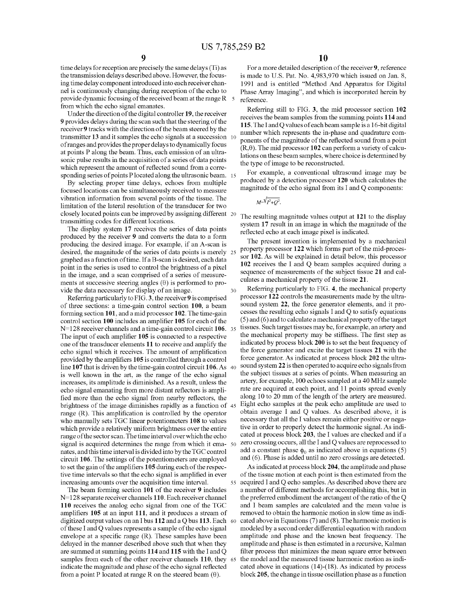30

time delays for reception are precisely the same delays (Ti) as the transmission delays described above. However, the focus ing time delay component introduced into each receiver chan nel is continuously changing during reception of the echo to provide dynamic focusing of the received beam at the range R from Which the echo signal emanates.

Under the direction of the digital controller 19, the receiver 9 provides delays during the scan such that the steering of the receiver 9 tracks With the direction of the beam steered by the transmitter 13 and it samples the echo signals at a succession 10 of ranges and provides the proper delays to dynamically focus at points P along the beam. Thus, each emission of an ultra sonic pulse results in the acquisition of a series of data points which represent the amount of reflected sound from a corresponding series of points P located along the ultrasonic beam. 15

By selecting proper time delays, echoes from multiple focused locations can be simultaneously received to measure vibration information from several points of the tissue. The limitation of the lateral resolution of the transducer for tWo closely located points can be improved by assigning different 20 transmitting codes for different locations.

The display system 17 receives the series of data points produced by the receiver 9 and converts the data to a form producing the desired image. For example, if an A-scan is desired, the magnitude of the series of data points is merely 25 graphed as a function of time. If a B-scan is desired, each data point in the series is used to control the brightness of a pixel in the image, and a scan comprised of a series of measure ments at successive steering angles  $(\theta)$  is performed to provide the data necessary for display of an image.

Referring particularly to FIG. 3, the receiver 9 is comprised of three sections: a time-gain control section 100, a beam forming section 101, and a mid processor 102. The time-gain control section  $100$  includes an amplifier  $105$  for each of the  $N=128$  receiver channels and a time-gain control circuit  $106.$  35 The input of each amplifier 105 is connected to a respective one of the transducer elements 11 to receive and amplify the echo signal which it receives. The amount of amplification provided by the amplifiers 105 is controlled through a control line 107 that is driven by the time-gain control circuit 106. As 40 is Well knoWn in the art, as the range of the echo signal increases, its amplitude is diminished. As a result, unless the echo signal emanating from more distant reflectors is amplified more than the echo signal from nearby reflectors, the brightness of the image diminishes rapidly as a function of 45 range  $(R)$ . This amplification is controlled by the operator Who manually sets TGC linear potentiometers 108 to values Which provide a relatively uniform brightness over the entire range of the sector scan. The time interval over Which the echo signal is acquired determines the range from which it ema- 50 nates, and this time interval is divided into by the TGC control circuit 106. The settings of the potentiometers are employed to set the gain of the amplifiers 105 during each of the respective time intervals so that the echo signal is amplified in ever increasing amounts over the acquisition time interval.

The beam forming section 101 of the receiver 9 includes  $N=128$  separate receiver channels 110. Each receiver channel 110 receives the analog echo signal from one of the TGC amplifiers 105 at an input 111, and it produces a stream of digitized output values on an I bus 112 and a Q bus 113. Each  $\sim$  60 of these I and Q values represents a sample of the echo signal envelope at a specific range  $(R)$ . These samples have been delayed in the manner described above such that When they are summed at summing points 114 and 115 With the I and Q samples from each of the other receiver channels 110, they 65 indicate the magnitude and phase of the echo signal reflected from a point P located at range R on the steered beam  $(\theta)$ .

For a more detailed description of the receiver 9, reference is made to U.S. Pat. No. 4,983,970 which issued on Jan. 8, 1991 and is entitled "Method And Apparatus for Digital Phase Array Imaging", and Which is incorporated herein by reference.

Referring still to FIG. 3, the mid processor section 102 receives the beam samples from the summing points 114 and 115. The I and Q values of eachbeam sample is a 16-bit digital number Which represents the in-phase and quadrature com ponents of the magnitude of the reflected sound from a point  $(R, \theta)$ . The mid processor 102 can perform a variety of calculations on these beam samples, Where choice is determined by the type of image to be reconstructed.

For example, a conventional ultrasound image may be produced by a detection processor 120 Which calculates the magnitude of the echo signal from its I and Q components:

 $M=\sqrt{V^2+O^2}$ .

The resulting magnitude values output at 121 to the display system 17 result in an image in Which the magnitude of the reflected echo at each image pixel is indicated.

The present invention is implemented by a mechanical property processor 122 Which forms part of the mid-proces sor 102. As Will be explained in detail beloW, this processor 102 receives the I and Q beam samples acquired during a sequence of measurements of the subject tissue 21 and calculates a mechanical property of the tissue 21.

Referring particularly to FIG. 4, the mechanical property processor 122 controls the measurements made by the ultra sound system 22, the force generator elements, and it processes the resulting echo signals I and Q to satisfy equations (5) and (6) and to calculate a mechanical property of the target tissues. Such target tissues may be, for example, an artery and the mechanical property may be stiffness. The first step as indicated by process block 200 is to set the beat frequency of the force generator and excite the target tissues 21 With the force generator. As indicated at process block 202 the ultra sound system 22 is then operated to acquire echo signals from the subject tissues at a series of points. When measuring an artery, for example, 100 echoes sampled at a 40 MHZ sample rate are acquired at each point, and 11 points spread evenly along 10 to 20 mm of the length of the artery are measured. Eight echo samples at the peak echo amplitude are used to obtain average I and Q values. As described above, it is necessary that all the I values remain either positive or nega tive in order to properly detect the harmonic signal. As indi cated at process block 203, the I values are checked and if a Zero crossing occurs, all the I and Q values are reprocessed to add a constant phase  $\phi_0$  as indicated above in equations (5) and (6). Phase is added until no Zero crossings are detected.

55 acquired I and Q echo samples. As described above there are As indicated at process block 204, the amplitude and phase of the tissue motion at each point is then estimated from the a number of different methods for accomplishing this, but in the preferred embodiment the arctangent of the ratio of the Q and I beam samples are calculated and the mean value is removed to obtain the harmonic motion in slow time as indicated above in Equations (7) and (8). The harmonic motion is modeled by a second order differential equation With random amplitude and phase and the known beat frequency. The amplitude and phase is then estimated in a recursive, Kalman filter process that minimizes the mean square error between the model and the measured tissue harmonic motion as indi cated above in equations  $(14)-(18)$ . As indicated by process block 205, the change in tissue oscillation phase as a function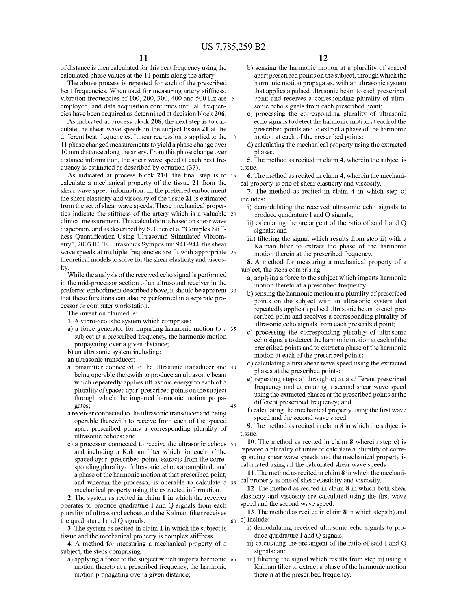of distance is then calculated for this beat frequency using the calculated phase values at the 11 points along the artery.

The above process is repeated for each of the prescribed beat frequencies. When used for measuring artery stiffness, vibration frequencies of 100, 200, 300, 400 and 500 Hz are  $5$ employed, and data acquisition continues until all frequen cies have been acquired as determined at decision block 206.

As indicated at process block 208, the next step is to cal culate the shear Wave speeds in the subject tissue 21 at the different beat frequencies. Linear regression is applied to the  $10$ l 1 phase changed measurements to yield a phase change over 10 mm distance along the artery. From this phase change over distance information, the shear Wave speed at each beat fre quency is estimated as described by equation (37).

As indicated at process block  $210$ , the final step is to  $15$ calculate a mechanical property of the tissue 21 from the shear Wave speed information. In the preferred embodiment the shear elasticity and viscosity of the tissue 21 is estimated from the set of shear Wave speeds. These mechanical proper ties indicate the stiffness of the artery Which is a valuable 20 clinical measurement. This calculation is based on shear Wave dispersion, and as described by S. Chen et al "Complex Stiff ness Quantification Using Ultrasound Stimulated Vibrometry", 2003 IEEE Ultrasonics Symposium 941-944, the shear wave speeds at multiple frequencies are fit with appropriate 25 theoretical models to solve for the shear elasticity and viscos ity.

While the analysis of the received echo signal is performed in the mid-processor section of an ultrasound receiver in the preferred embodiment described above, it should be apparent 30 that these functions can also be performed in a separate pro cessor or computer Workstation.

The invention claimed is:

- 1. A vibro-acoustic system Which comprises:
- a) a force generator for imparting harmonic motion to a 35 subject at a prescribed frequency, the harmonic motion propagating over a given distance;
- b) an ultrasonic system including:
- an ultrasonic transducer;
- a transmitter connected to the ultrasonic transducer and 40 being operable therewith to produce an ultrasonic beam Which repeatedly applies ultrasonic energy to each of a plurality of spaced apart prescribed points on the subject through Which the imparted harmonic motion propa gates; a receiver connected to the ultrasonic transducer and being 45
- operable therewith to receive from each of the spaced apart prescribed points a corresponding plurality of ultrasonic echoes; and
- c) a processor connected to receive the ultrasonic echoes 50 and including a Kalman filter which for each of the spaced apart prescribed points extracts from the corre sponding plurality of ultrasonic echoes an amplitude and a phase of the harmonic motion at that prescribed point, and Wherein the processor is operable to calculate a 55 mechanical property using the extracted information.

2. The system as recited in claim 1 in Which the receiver operates to produce quadrature I and Q signals from each plurality of ultrasound echoes and the Kalman filter receives the quadrature I and Q signals.

3. The system as recited in claim 1 in Which the subject is tissue and the mechanical property is complex stiffness.

- 4. A method for measuring a mechanical property of a subject, the steps comprising:
	- a) applying a force to the subject Which imparts harmonic 65 motion thereto at a prescribed frequency, the harmonic motion propagating over a given distance;
- b) sensing the harmonic motion at a plurality of spaced apart prescribed points on the subject, through Which the harmonic motion propagates, With an ultrasonic system that applies a pulsed ultrasonic beam to each prescribed point and receives a corresponding plurality of ultra sonic echo signals from each prescribed point;
- c) processing the corresponding plurality of ultrasonic echo signals to detect the harmonic motion at each of the prescribed points and to extract a phase of the harmonic motion at each of the prescribed points;
- d) calculating the mechanical property using the extracted phases.

5. The method as recited in claim 4, Wherein the subject is tissue.

6. The method as recited in claim 4, Wherein the mechani cal property is one of shear elasticity and viscosity.

7. The method as recited in claim 4 in Which step c) includes:

- i) demodulating the received ultrasonic echo signals to produce quadrature I and Q signals;
- ii) calculating the arctangent of the ratio of said I and Q signals; and
- iii) filtering the signal which results from step ii) with a Kalman filter to extract the phase of the harmonic motion therein at the prescribed frequency.

8. A method for measuring a mechanical property of a subject, the steps comprising:

- a) applying a force to the subject Which imparts harmonic motion thereto at a prescribed frequency;
- b) sensing the harmonic motion at a plurality of prescribed points on the subject With an ultrasonic system that repeatedly applies a pulsed ultrasonic beam to each pre scribed point and receives a corresponding plurality of ultrasonic echo signals from each prescribed point;
- c) processing the corresponding plurality of ultrasonic echo signals to detect the harmonic motion at each of the prescribed points and to extract a phase of the harmonic motion at each of the prescribed points;
- d) calculating a first shear wave speed using the extracted phases at the prescribed points;
- e) repeating steps a) through c) at a different prescribed frequency and calculating a second shear Wave speed using the extracted phases at the prescribed points at the different prescribed frequency; and
- f) calculating the mechanical property using the first wave speed and the second Wave speed.

9. The method as recited in claim 8 in Which the subject is tissue.

10. The method as recited in claim 8 Wherein step e) is repeated a plurality of times to calculate a plurality of corre sponding shear Wave speeds and the mechanical property is calculated using all the calculated shear Wave speeds.

11. The method as recited in claim 8 in Which the mechani cal property is one of shear elasticity and viscosity.

12. The method as recited in claim 8 in Which both shear elasticity and viscosity are calculated using the first wave speed and the second Wave speed.

 $_{60}$  c) include: 13. The method as recited in claim 8 in Which steps b) and

- i) demodulating received ultrasonic echo signals to pro duce quadrature I and Q signals;
- ii) calculating the arctangent of the ratio of said I and Q signals; and
- iii) filtering the signal which results from step ii) using a Kalman filter to extract a phase of the harmonic motion therein at the prescribed frequency.